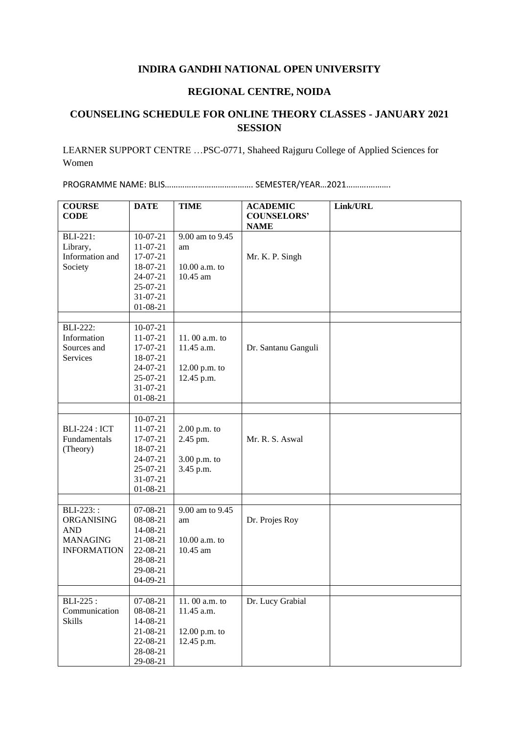## **INDIRA GANDHI NATIONAL OPEN UNIVERSITY**

## **REGIONAL CENTRE, NOIDA**

## **COUNSELING SCHEDULE FOR ONLINE THEORY CLASSES - JANUARY 2021 SESSION**

LEARNER SUPPORT CENTRE …PSC-0771, Shaheed Rajguru College of Applied Sciences for Women

PROGRAMME NAME: BLIS…………………………………. SEMESTER/YEAR…2021……….……….

| <b>COURSE</b>        | <b>DATE</b>    | <b>TIME</b>     | <b>ACADEMIC</b>                   | Link/URL |
|----------------------|----------------|-----------------|-----------------------------------|----------|
| <b>CODE</b>          |                |                 | <b>COUNSELORS'</b><br><b>NAME</b> |          |
| <b>BLI-221:</b>      | $10-07-21$     | 9.00 am to 9.45 |                                   |          |
| Library,             | $11-07-21$     | am              |                                   |          |
| Information and      | 17-07-21       |                 | Mr. K. P. Singh                   |          |
| Society              | 18-07-21       | $10.00$ a.m. to |                                   |          |
|                      | 24-07-21       | 10.45 am        |                                   |          |
|                      | 25-07-21       |                 |                                   |          |
|                      | $31 - 07 - 21$ |                 |                                   |          |
|                      | 01-08-21       |                 |                                   |          |
| <b>BLI-222:</b>      | $10-07-21$     |                 |                                   |          |
| Information          | $11-07-21$     | 11.00 a.m. to   |                                   |          |
| Sources and          | 17-07-21       | 11.45 a.m.      | Dr. Santanu Ganguli               |          |
| Services             | 18-07-21       |                 |                                   |          |
|                      | 24-07-21       | 12.00 p.m. to   |                                   |          |
|                      | $25-07-21$     | 12.45 p.m.      |                                   |          |
|                      | 31-07-21       |                 |                                   |          |
|                      | $01 - 08 - 21$ |                 |                                   |          |
|                      |                |                 |                                   |          |
|                      | $10-07-21$     |                 |                                   |          |
| <b>BLI-224 : ICT</b> | 11-07-21       | $2.00$ p.m. to  |                                   |          |
| Fundamentals         | 17-07-21       | 2.45 pm.        | Mr. R. S. Aswal                   |          |
| (Theory)             | 18-07-21       |                 |                                   |          |
|                      | 24-07-21       | 3.00 p.m. to    |                                   |          |
|                      | 25-07-21       | 3.45 p.m.       |                                   |          |
|                      | $31 - 07 - 21$ |                 |                                   |          |
|                      | 01-08-21       |                 |                                   |          |
| BLI-223::            | 07-08-21       | 9.00 am to 9.45 |                                   |          |
| ORGANISING           | 08-08-21       |                 |                                   |          |
| <b>AND</b>           | 14-08-21       | am              | Dr. Projes Roy                    |          |
| <b>MANAGING</b>      | 21-08-21       | 10.00 a.m. to   |                                   |          |
| <b>INFORMATION</b>   | 22-08-21       | 10.45 am        |                                   |          |
|                      | 28-08-21       |                 |                                   |          |
|                      | 29-08-21       |                 |                                   |          |
|                      | 04-09-21       |                 |                                   |          |
|                      |                |                 |                                   |          |
| BLI-225:             | 07-08-21       | 11.00 a.m. to   | Dr. Lucy Grabial                  |          |
| Communication        | 08-08-21       | 11.45 a.m.      |                                   |          |
| <b>Skills</b>        | 14-08-21       |                 |                                   |          |
|                      | 21-08-21       | 12.00 p.m. to   |                                   |          |
|                      | 22-08-21       | 12.45 p.m.      |                                   |          |
|                      | 28-08-21       |                 |                                   |          |
|                      | 29-08-21       |                 |                                   |          |